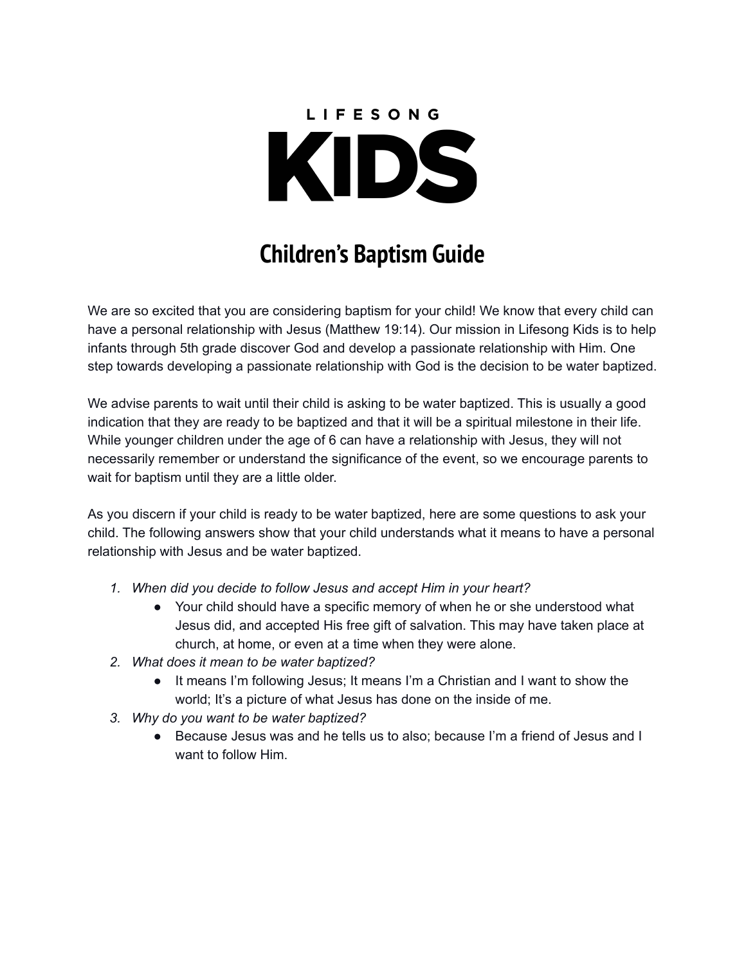# LIFESONG KIDS

## **Children's Baptism Guide**

We are so excited that you are considering baptism for your child! We know that every child can have a personal relationship with Jesus (Matthew 19:14). Our mission in Lifesong Kids is to help infants through 5th grade discover God and develop a passionate relationship with Him. One step towards developing a passionate relationship with God is the decision to be water baptized.

We advise parents to wait until their child is asking to be water baptized. This is usually a good indication that they are ready to be baptized and that it will be a spiritual milestone in their life. While younger children under the age of 6 can have a relationship with Jesus, they will not necessarily remember or understand the significance of the event, so we encourage parents to wait for baptism until they are a little older.

As you discern if your child is ready to be water baptized, here are some questions to ask your child. The following answers show that your child understands what it means to have a personal relationship with Jesus and be water baptized.

- *1. When did you decide to follow Jesus and accept Him in your heart?*
	- Your child should have a specific memory of when he or she understood what Jesus did, and accepted His free gift of salvation. This may have taken place at church, at home, or even at a time when they were alone.
- *2. What does it mean to be water baptized?*
	- It means I'm following Jesus; It means I'm a Christian and I want to show the world; It's a picture of what Jesus has done on the inside of me.
- *3. Why do you want to be water baptized?*
	- Because Jesus was and he tells us to also; because I'm a friend of Jesus and I want to follow Him.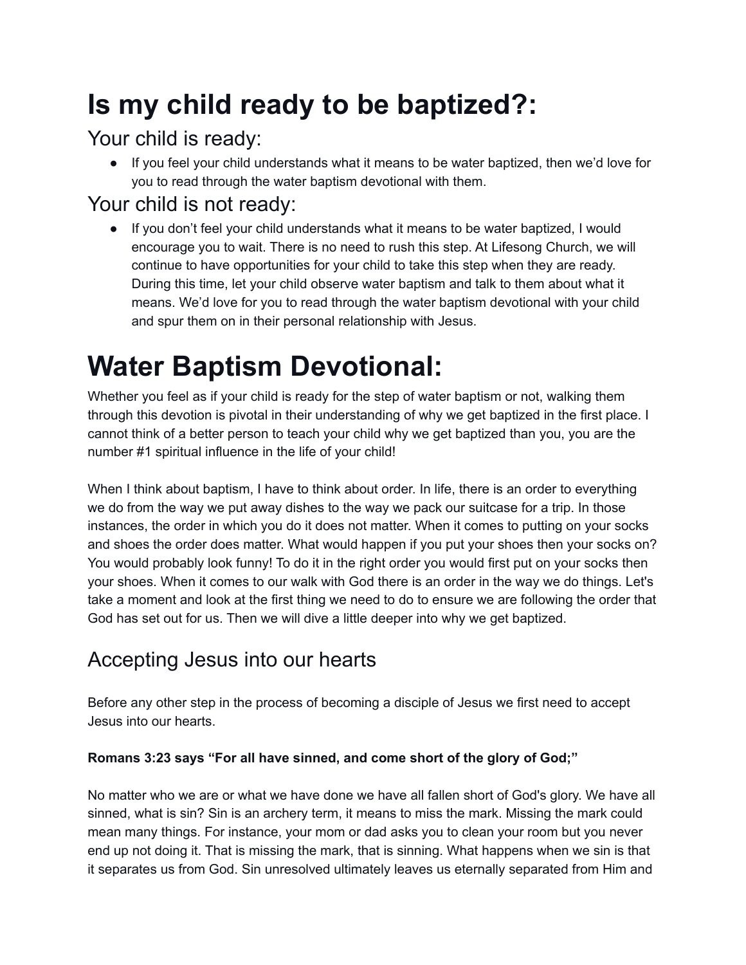## **Is my child ready to be baptized?:**

#### Your child is ready:

● If you feel your child understands what it means to be water baptized, then we'd love for you to read through the water baptism devotional with them.

#### Your child is not ready:

● If you don't feel your child understands what it means to be water baptized, I would encourage you to wait. There is no need to rush this step. At Lifesong Church, we will continue to have opportunities for your child to take this step when they are ready. During this time, let your child observe water baptism and talk to them about what it means. We'd love for you to read through the water baptism devotional with your child and spur them on in their personal relationship with Jesus.

# **Water Baptism Devotional:**

Whether you feel as if your child is ready for the step of water baptism or not, walking them through this devotion is pivotal in their understanding of why we get baptized in the first place. I cannot think of a better person to teach your child why we get baptized than you, you are the number #1 spiritual influence in the life of your child!

When I think about baptism, I have to think about order. In life, there is an order to everything we do from the way we put away dishes to the way we pack our suitcase for a trip. In those instances, the order in which you do it does not matter. When it comes to putting on your socks and shoes the order does matter. What would happen if you put your shoes then your socks on? You would probably look funny! To do it in the right order you would first put on your socks then your shoes. When it comes to our walk with God there is an order in the way we do things. Let's take a moment and look at the first thing we need to do to ensure we are following the order that God has set out for us. Then we will dive a little deeper into why we get baptized.

### Accepting Jesus into our hearts

Before any other step in the process of becoming a disciple of Jesus we first need to accept Jesus into our hearts.

#### **Romans 3:23 says "For all have sinned, and come short of the glory of God;"**

No matter who we are or what we have done we have all fallen short of God's glory. We have all sinned, what is sin? Sin is an archery term, it means to miss the mark. Missing the mark could mean many things. For instance, your mom or dad asks you to clean your room but you never end up not doing it. That is missing the mark, that is sinning. What happens when we sin is that it separates us from God. Sin unresolved ultimately leaves us eternally separated from Him and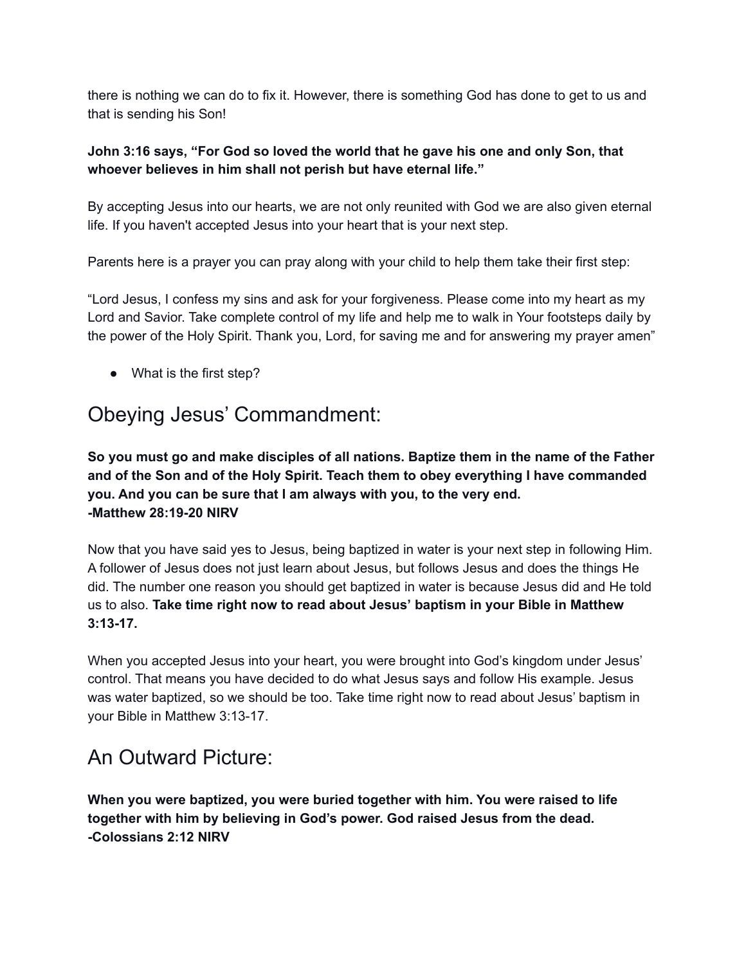there is nothing we can do to fix it. However, there is something God has done to get to us and that is sending his Son!

#### **John 3:16 says, "For God so loved the world that he gave his one and only Son, that whoever believes in him shall not perish but have eternal life."**

By accepting Jesus into our hearts, we are not only reunited with God we are also given eternal life. If you haven't accepted Jesus into your heart that is your next step.

Parents here is a prayer you can pray along with your child to help them take their first step:

"Lord Jesus, I confess my sins and ask for your forgiveness. Please come into my heart as my Lord and Savior. Take complete control of my life and help me to walk in Your footsteps daily by the power of the Holy Spirit. Thank you, Lord, for saving me and for answering my prayer amen"

● What is the first step?

#### Obeying Jesus' Commandment:

**So you must go and make disciples of all nations. Baptize them in the name of the Father and of the Son and of the Holy Spirit. Teach them to obey everything I have commanded you. And you can be sure that I am always with you, to the very end. -Matthew 28:19-20 NIRV**

Now that you have said yes to Jesus, being baptized in water is your next step in following Him. A follower of Jesus does not just learn about Jesus, but follows Jesus and does the things He did. The number one reason you should get baptized in water is because Jesus did and He told us to also. **Take time right now to read about Jesus' baptism in your Bible in Matthew 3:13-17.**

When you accepted Jesus into your heart, you were brought into God's kingdom under Jesus' control. That means you have decided to do what Jesus says and follow His example. Jesus was water baptized, so we should be too. Take time right now to read about Jesus' baptism in your Bible in Matthew 3:13-17.

#### An Outward Picture:

**When you were baptized, you were buried together with him. You were raised to life together with him by believing in God's power. God raised Jesus from the dead. -Colossians 2:12 NIRV**